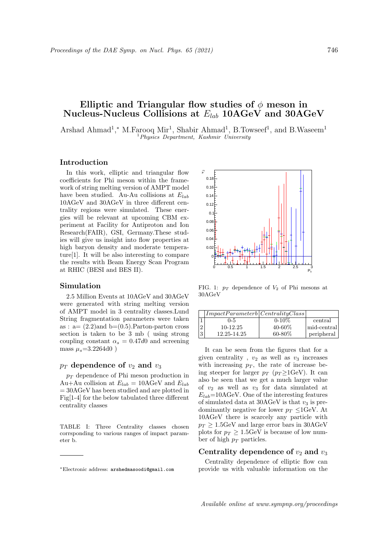# Elliptic and Triangular flow studies of  $\phi$  meson in Nucleus-Nucleus Collisions at  $E_{lab}$  10AGeV and 30AGeV

Arshad Ahmad<sup>1</sup>,\* M.Farooq Mir<sup>1</sup>, Shabir Ahmad<sup>1</sup>, B.Towseef<sup>1</sup>, and B.Waseem<sup>1</sup> <sup>1</sup>Physics Department, Kashmir University

### Introduction

In this work, elliptic and triangular flow coefficients for Phi meson within the framework of string melting version of AMPT model have been studied. Au-Au collisions at  $E_{lab}$ 10AGeV and 30AGeV in three different centrality regions were simulated. These energies will be relevant at upcoming CBM experiment at Facility for Antiproton and Ion Research(FAIR), GSI, Germany.These studies will give us insight into flow properties at high baryon density and moderate temperature[1]. It will be also interesting to compare the results with Beam Energy Scan Program at RHIC (BESI and BES II).

#### Simulation

2.5 Million Events at 10AGeV and 30AGeV were generated with string melting version of AMPT model in 3 centrality classes.Lund String fragmentation parameters were taken as :  $a = (2.2)$  and  $b = (0.5)$ . Parton-parton cross section is taken to be 3 mb ( using strong coupling constant  $\alpha_s = 0.47d0$  and screening mass  $\mu_s = 3.2264d0$ )

#### $p_T$  dependence of  $v_2$  and  $v_3$

 $p_T$  dependence of Phi meson production in Au+Au collision at  $E_{lab} = 10 \text{AGeV}$  and  $E_{lab}$ = 30AGeV has been studied and are plotted in Fig[1-4] for the below tabulated three different centrality classes

TABLE I: Three Centrality classes chosen corrsponding to various ranges of impact parameter b.



FIG. 1:  $p_T$  dependence of  $V_2$  of Phi mesons at 30AGeV

|   | ImpatchParameterb CentralityClass |             |             |
|---|-----------------------------------|-------------|-------------|
|   | $0 - 5$                           | $0-10\%$    | central     |
|   | 10-12.25                          | 40-60%      | mid-central |
| 3 | 12.25-14.25                       | $60 - 80\%$ | peripheral  |

It can be seen from the figures that for a given centrality,  $v_2$  as well as  $v_3$  increases with increasing  $p_T$ , the rate of increase being steeper for larger  $p_T$  ( $p_T \geq 1 \text{GeV}$ ). It can also be seen that we get a much larger value of  $v_2$  as well as  $v_3$  for data simulated at  $E_{lab}$ =10AGeV. One of the interesting features of simulated data at  $30AGeV$  is that  $v_3$  is predominantly negative for lower  $p_T < 1 \text{GeV}$ . At 10AGeV there is scarcely any particle with  $p_T \geq 1.5$ GeV and large error bars in 30AGeV plots for  $p_T \geq 1.5$ GeV is because of low number of high  $p_T$  particles.

## Centrality dependence of  $v_2$  and  $v_3$

Centrality dependence of elliptic flow can provide us with valuable information on the

<sup>∗</sup>Electronic address: arshedmasoodi@gmail.com